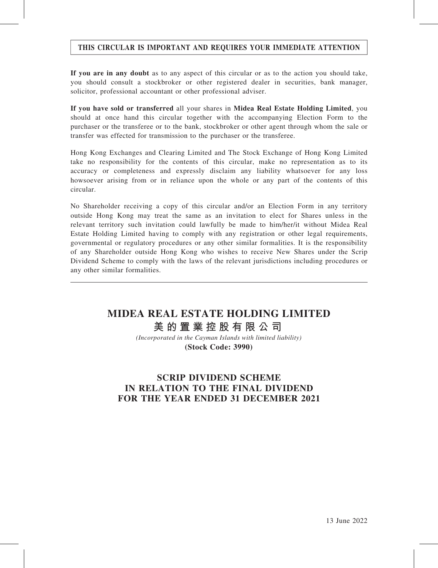## THIS CIRCULAR IS IMPORTANT AND REQUIRES YOUR IMMEDIATE ATTENTION

If you are in any doubt as to any aspect of this circular or as to the action you should take, you should consult a stockbroker or other registered dealer in securities, bank manager, solicitor, professional accountant or other professional adviser.

If you have sold or transferred all your shares in Midea Real Estate Holding Limited, you should at once hand this circular together with the accompanying Election Form to the purchaser or the transferee or to the bank, stockbroker or other agent through whom the sale or transfer was effected for transmission to the purchaser or the transferee.

Hong Kong Exchanges and Clearing Limited and The Stock Exchange of Hong Kong Limited take no responsibility for the contents of this circular, make no representation as to its accuracy or completeness and expressly disclaim any liability whatsoever for any loss howsoever arising from or in reliance upon the whole or any part of the contents of this circular.

No Shareholder receiving a copy of this circular and/or an Election Form in any territory outside Hong Kong may treat the same as an invitation to elect for Shares unless in the relevant territory such invitation could lawfully be made to him/her/it without Midea Real Estate Holding Limited having to comply with any registration or other legal requirements, governmental or regulatory procedures or any other similar formalities. It is the responsibility of any Shareholder outside Hong Kong who wishes to receive New Shares under the Scrip Dividend Scheme to comply with the laws of the relevant jurisdictions including procedures or any other similar formalities.

# **MIDEA REAL ESTATE HOLDING LIMITED 美的置業控股有限公司**

*(Incorporated in the Cayman Islands with limited liability)* **(Stock Code: 3990)**

# SCRIP DIVIDEND SCHEME IN RELATION TO THE FINAL DIVIDEND FOR THE YEAR ENDED 31 DECEMBER 2021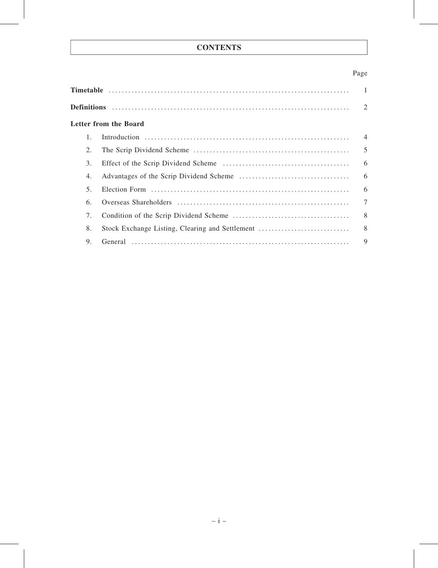# **CONTENTS**

## Page

| $\overline{\phantom{0}}$ |                                                 |                |  |  |  |
|--------------------------|-------------------------------------------------|----------------|--|--|--|
|                          |                                                 |                |  |  |  |
|                          | <b>Letter from the Board</b>                    |                |  |  |  |
| 1.                       |                                                 | $\overline{4}$ |  |  |  |
| 2.                       |                                                 | 5              |  |  |  |
| 3.                       |                                                 | 6              |  |  |  |
| 4.                       |                                                 | 6              |  |  |  |
| 5.                       |                                                 | 6              |  |  |  |
| 6.                       |                                                 | $\overline{7}$ |  |  |  |
| 7.                       |                                                 | 8              |  |  |  |
| 8.                       | Stock Exchange Listing, Clearing and Settlement | 8              |  |  |  |
| 9.                       |                                                 | $\mathbf Q$    |  |  |  |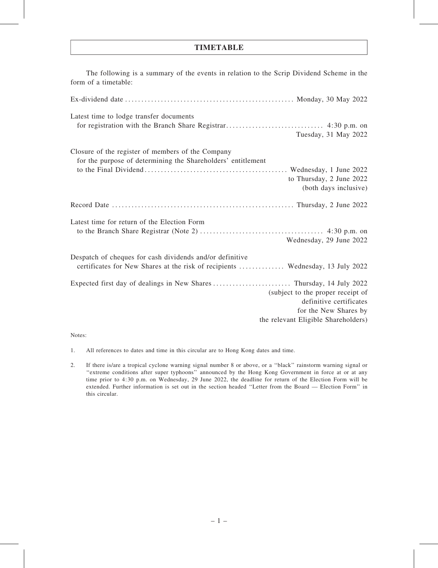## TIMETABLE

| The following is a summary of the events in relation to the Scrip Dividend Scheme in the<br>form of a timetable:                                                                                     |
|------------------------------------------------------------------------------------------------------------------------------------------------------------------------------------------------------|
|                                                                                                                                                                                                      |
| Latest time to lodge transfer documents<br>Tuesday, 31 May 2022                                                                                                                                      |
| Closure of the register of members of the Company<br>for the purpose of determining the Shareholders' entitlement<br>to Thursday, 2 June 2022<br>(both days inclusive)                               |
|                                                                                                                                                                                                      |
| Latest time for return of the Election Form<br>Wednesday, 29 June 2022                                                                                                                               |
| Despatch of cheques for cash dividends and/or definitive<br>certificates for New Shares at the risk of recipients  Wednesday, 13 July 2022                                                           |
| Expected first day of dealings in New Shares  Thursday, 14 July 2022<br>(subject to the proper receipt of<br>definitive certificates<br>for the New Shares by<br>the relevant Eligible Shareholders) |

Notes:

- 1. All references to dates and time in this circular are to Hong Kong dates and time.
- 2. If there is/are a tropical cyclone warning signal number 8 or above, or a ''black'' rainstorm warning signal or ''extreme conditions after super typhoons'' announced by the Hong Kong Government in force at or at any time prior to 4:30 p.m. on Wednesday, 29 June 2022, the deadline for return of the Election Form will be extended. Further information is set out in the section headed ''Letter from the Board — Election Form'' in this circular.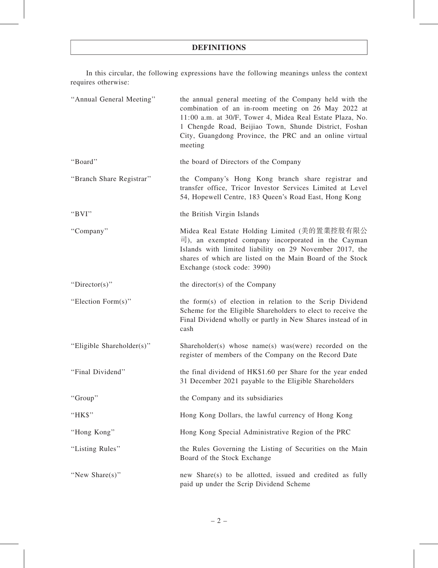## DEFINITIONS

In this circular, the following expressions have the following meanings unless the context requires otherwise:

| "Annual General Meeting"  | the annual general meeting of the Company held with the<br>combination of an in-room meeting on 26 May 2022 at<br>11:00 a.m. at 30/F, Tower 4, Midea Real Estate Plaza, No.<br>1 Chengde Road, Beijiao Town, Shunde District, Foshan<br>City, Guangdong Province, the PRC and an online virtual<br>meeting |  |  |  |  |
|---------------------------|------------------------------------------------------------------------------------------------------------------------------------------------------------------------------------------------------------------------------------------------------------------------------------------------------------|--|--|--|--|
| "Board"                   | the board of Directors of the Company                                                                                                                                                                                                                                                                      |  |  |  |  |
| "Branch Share Registrar"  | the Company's Hong Kong branch share registrar and<br>transfer office, Tricor Investor Services Limited at Level<br>54, Hopewell Centre, 183 Queen's Road East, Hong Kong                                                                                                                                  |  |  |  |  |
| "BVI"                     | the British Virgin Islands                                                                                                                                                                                                                                                                                 |  |  |  |  |
| "Company"                 | Midea Real Estate Holding Limited (美的置業控股有限公<br>$\vec{p}$ ), an exempted company incorporated in the Cayman<br>Islands with limited liability on 29 November 2017, the<br>shares of which are listed on the Main Board of the Stock<br>Exchange (stock code: 3990)                                         |  |  |  |  |
| "Director(s)"             | the director(s) of the Company                                                                                                                                                                                                                                                                             |  |  |  |  |
| "Election Form(s)"        | the form(s) of election in relation to the Scrip Dividend<br>Scheme for the Eligible Shareholders to elect to receive the<br>Final Dividend wholly or partly in New Shares instead of in<br>cash                                                                                                           |  |  |  |  |
| "Eligible Shareholder(s)" | Shareholder(s) whose name(s) was (were) recorded on the<br>register of members of the Company on the Record Date                                                                                                                                                                                           |  |  |  |  |
| "Final Dividend"          | the final dividend of HK\$1.60 per Share for the year ended<br>31 December 2021 payable to the Eligible Shareholders                                                                                                                                                                                       |  |  |  |  |
| "Group"                   | the Company and its subsidiaries                                                                                                                                                                                                                                                                           |  |  |  |  |
| "HK\$"                    | Hong Kong Dollars, the lawful currency of Hong Kong                                                                                                                                                                                                                                                        |  |  |  |  |
| "Hong Kong"               | Hong Kong Special Administrative Region of the PRC                                                                                                                                                                                                                                                         |  |  |  |  |
| "Listing Rules"           | the Rules Governing the Listing of Securities on the Main<br>Board of the Stock Exchange                                                                                                                                                                                                                   |  |  |  |  |
| "New Share(s)"            | new Share(s) to be allotted, issued and credited as fully<br>paid up under the Scrip Dividend Scheme                                                                                                                                                                                                       |  |  |  |  |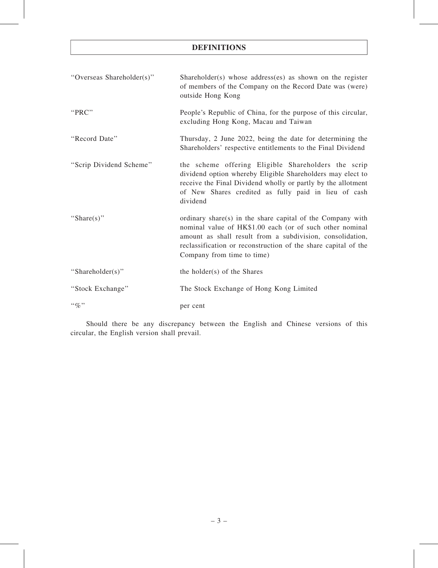## DEFINITIONS

| "Overseas Shareholder(s)" | Shareholder(s) whose address(es) as shown on the register<br>of members of the Company on the Record Date was (were)<br>outside Hong Kong                                                                                                                                           |  |  |  |
|---------------------------|-------------------------------------------------------------------------------------------------------------------------------------------------------------------------------------------------------------------------------------------------------------------------------------|--|--|--|
| "PRC"                     | People's Republic of China, for the purpose of this circular,<br>excluding Hong Kong, Macau and Taiwan                                                                                                                                                                              |  |  |  |
| "Record Date"             | Thursday, 2 June 2022, being the date for determining the<br>Shareholders' respective entitlements to the Final Dividend                                                                                                                                                            |  |  |  |
| "Scrip Dividend Scheme"   | the scheme offering Eligible Shareholders the scrip<br>dividend option whereby Eligible Shareholders may elect to<br>receive the Final Dividend wholly or partly by the allotment<br>of New Shares credited as fully paid in lieu of cash<br>dividend                               |  |  |  |
| "Share $(s)$ "            | ordinary share(s) in the share capital of the Company with<br>nominal value of HK\$1.00 each (or of such other nominal<br>amount as shall result from a subdivision, consolidation,<br>reclassification or reconstruction of the share capital of the<br>Company from time to time) |  |  |  |
| "Shareholder(s)"          | the holder(s) of the Shares                                                                                                                                                                                                                                                         |  |  |  |
| "Stock Exchange"          | The Stock Exchange of Hong Kong Limited                                                                                                                                                                                                                                             |  |  |  |
| $\lq\lq q_0$ "            | per cent                                                                                                                                                                                                                                                                            |  |  |  |

Should there be any discrepancy between the English and Chinese versions of this circular, the English version shall prevail.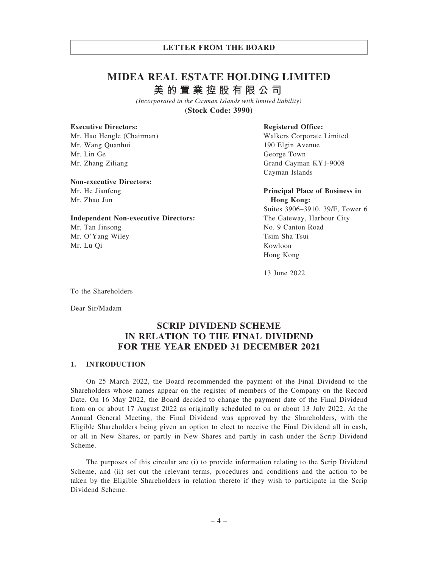# **MIDEA REAL ESTATE HOLDING LIMITED 美的置業控股有限公司**

*(Incorporated in the Cayman Islands with limited liability)* **(Stock Code: 3990)**

#### Executive Directors:

Mr. Hao Hengle (Chairman) Mr. Wang Quanhui Mr. Lin Ge Mr. Zhang Ziliang

#### Non-executive Directors:

Mr. He Jianfeng Mr. Zhao Jun

#### Independent Non-executive Directors:

Mr. Tan Jinsong Mr. O'Yang Wiley Mr. Lu Qi

#### Registered Office:

Walkers Corporate Limited 190 Elgin Avenue George Town Grand Cayman KY1-9008 Cayman Islands

#### Principal Place of Business in Hong Kong:

Suites 3906–3910, 39/F, Tower 6 The Gateway, Harbour City No. 9 Canton Road Tsim Sha Tsui Kowloon Hong Kong

13 June 2022

To the Shareholders

Dear Sir/Madam

## SCRIP DIVIDEND SCHEME IN RELATION TO THE FINAL DIVIDEND FOR THE YEAR ENDED 31 DECEMBER 2021

#### 1. INTRODUCTION

On 25 March 2022, the Board recommended the payment of the Final Dividend to the Shareholders whose names appear on the register of members of the Company on the Record Date. On 16 May 2022, the Board decided to change the payment date of the Final Dividend from on or about 17 August 2022 as originally scheduled to on or about 13 July 2022. At the Annual General Meeting, the Final Dividend was approved by the Shareholders, with the Eligible Shareholders being given an option to elect to receive the Final Dividend all in cash, or all in New Shares, or partly in New Shares and partly in cash under the Scrip Dividend Scheme.

The purposes of this circular are (i) to provide information relating to the Scrip Dividend Scheme, and (ii) set out the relevant terms, procedures and conditions and the action to be taken by the Eligible Shareholders in relation thereto if they wish to participate in the Scrip Dividend Scheme.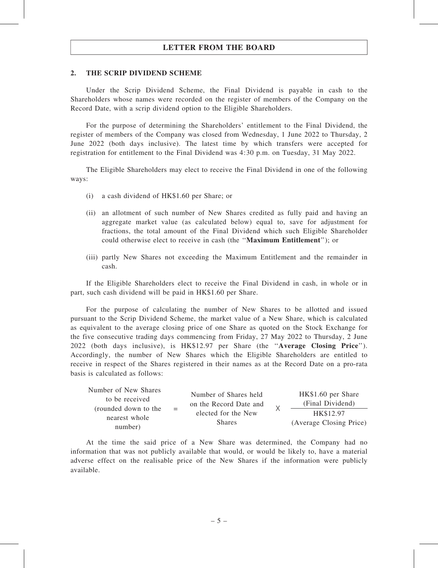#### 2. THE SCRIP DIVIDEND SCHEME

Under the Scrip Dividend Scheme, the Final Dividend is payable in cash to the Shareholders whose names were recorded on the register of members of the Company on the Record Date, with a scrip dividend option to the Eligible Shareholders.

For the purpose of determining the Shareholders' entitlement to the Final Dividend, the register of members of the Company was closed from Wednesday, 1 June 2022 to Thursday, 2 June 2022 (both days inclusive). The latest time by which transfers were accepted for registration for entitlement to the Final Dividend was 4:30 p.m. on Tuesday, 31 May 2022.

The Eligible Shareholders may elect to receive the Final Dividend in one of the following ways:

- (i) a cash dividend of HK\$1.60 per Share; or
- (ii) an allotment of such number of New Shares credited as fully paid and having an aggregate market value (as calculated below) equal to, save for adjustment for fractions, the total amount of the Final Dividend which such Eligible Shareholder could otherwise elect to receive in cash (the ''Maximum Entitlement''); or
- (iii) partly New Shares not exceeding the Maximum Entitlement and the remainder in cash.

If the Eligible Shareholders elect to receive the Final Dividend in cash, in whole or in part, such cash dividend will be paid in HK\$1.60 per Share.

For the purpose of calculating the number of New Shares to be allotted and issued pursuant to the Scrip Dividend Scheme, the market value of a New Share, which is calculated as equivalent to the average closing price of one Share as quoted on the Stock Exchange for the five consecutive trading days commencing from Friday, 27 May 2022 to Thursday, 2 June 2022 (both days inclusive), is HK\$12.97 per Share (the ''Average Closing Price''). Accordingly, the number of New Shares which the Eligible Shareholders are entitled to receive in respect of the Shares registered in their names as at the Record Date on a pro-rata basis is calculated as follows:

| Number of New Shares<br>to be received | $=$ | Number of Shares held<br>on the Record Date and<br>elected for the New<br><b>Shares</b> |  | HK\$1.60 per Share<br>(Final Dividend) |
|----------------------------------------|-----|-----------------------------------------------------------------------------------------|--|----------------------------------------|
| (rounded down to the<br>nearest whole  |     |                                                                                         |  | HK\$12.97                              |
| number)                                |     |                                                                                         |  | (Average Closing Price)                |

At the time the said price of a New Share was determined, the Company had no information that was not publicly available that would, or would be likely to, have a material adverse effect on the realisable price of the New Shares if the information were publicly available.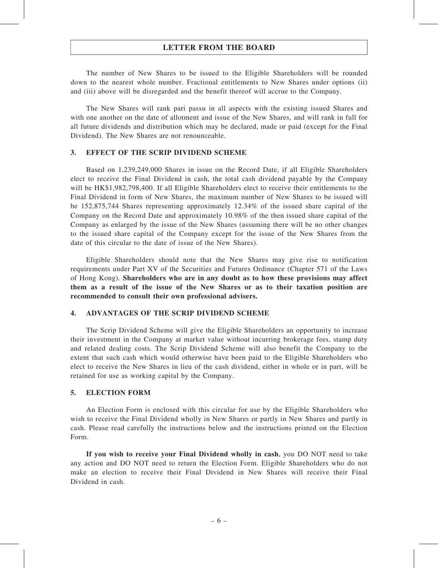The number of New Shares to be issued to the Eligible Shareholders will be rounded down to the nearest whole number. Fractional entitlements to New Shares under options (ii) and (iii) above will be disregarded and the benefit thereof will accrue to the Company.

The New Shares will rank pari passu in all aspects with the existing issued Shares and with one another on the date of allotment and issue of the New Shares, and will rank in full for all future dividends and distribution which may be declared, made or paid (except for the Final Dividend). The New Shares are not renounceable.

#### 3. EFFECT OF THE SCRIP DIVIDEND SCHEME

Based on 1,239,249,000 Shares in issue on the Record Date, if all Eligible Shareholders elect to receive the Final Dividend in cash, the total cash dividend payable by the Company will be HK\$1,982,798,400. If all Eligible Shareholders elect to receive their entitlements to the Final Dividend in form of New Shares, the maximum number of New Shares to be issued will be 152,875,744 Shares representing approximately 12.34% of the issued share capital of the Company on the Record Date and approximately 10.98% of the then issued share capital of the Company as enlarged by the issue of the New Shares (assuming there will be no other changes to the issued share capital of the Company except for the issue of the New Shares from the date of this circular to the date of issue of the New Shares).

Eligible Shareholders should note that the New Shares may give rise to notification requirements under Part XV of the Securities and Futures Ordinance (Chapter 571 of the Laws of Hong Kong). Shareholders who are in any doubt as to how these provisions may affect them as a result of the issue of the New Shares or as to their taxation position are recommended to consult their own professional advisers.

#### 4. ADVANTAGES OF THE SCRIP DIVIDEND SCHEME

The Scrip Dividend Scheme will give the Eligible Shareholders an opportunity to increase their investment in the Company at market value without incurring brokerage fees, stamp duty and related dealing costs. The Scrip Dividend Scheme will also benefit the Company to the extent that such cash which would otherwise have been paid to the Eligible Shareholders who elect to receive the New Shares in lieu of the cash dividend, either in whole or in part, will be retained for use as working capital by the Company.

#### 5. ELECTION FORM

An Election Form is enclosed with this circular for use by the Eligible Shareholders who wish to receive the Final Dividend wholly in New Shares or partly in New Shares and partly in cash. Please read carefully the instructions below and the instructions printed on the Election Form.

If you wish to receive your Final Dividend wholly in cash, you DO NOT need to take any action and DO NOT need to return the Election Form. Eligible Shareholders who do not make an election to receive their Final Dividend in New Shares will receive their Final Dividend in cash.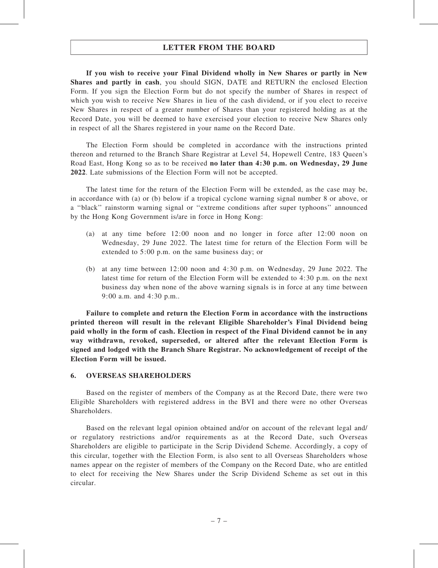If you wish to receive your Final Dividend wholly in New Shares or partly in New Shares and partly in cash, you should SIGN, DATE and RETURN the enclosed Election Form. If you sign the Election Form but do not specify the number of Shares in respect of which you wish to receive New Shares in lieu of the cash dividend, or if you elect to receive New Shares in respect of a greater number of Shares than your registered holding as at the Record Date, you will be deemed to have exercised your election to receive New Shares only in respect of all the Shares registered in your name on the Record Date.

The Election Form should be completed in accordance with the instructions printed thereon and returned to the Branch Share Registrar at Level 54, Hopewell Centre, 183 Queen's Road East, Hong Kong so as to be received no later than 4:30 p.m. on Wednesday, 29 June 2022. Late submissions of the Election Form will not be accepted.

The latest time for the return of the Election Form will be extended, as the case may be, in accordance with (a) or (b) below if a tropical cyclone warning signal number 8 or above, or a ''black'' rainstorm warning signal or ''extreme conditions after super typhoons'' announced by the Hong Kong Government is/are in force in Hong Kong:

- (a) at any time before 12:00 noon and no longer in force after 12:00 noon on Wednesday, 29 June 2022. The latest time for return of the Election Form will be extended to 5:00 p.m. on the same business day; or
- (b) at any time between 12:00 noon and 4:30 p.m. on Wednesday, 29 June 2022. The latest time for return of the Election Form will be extended to 4:30 p.m. on the next business day when none of the above warning signals is in force at any time between 9:00 a.m. and 4:30 p.m..

Failure to complete and return the Election Form in accordance with the instructions printed thereon will result in the relevant Eligible Shareholder's Final Dividend being paid wholly in the form of cash. Election in respect of the Final Dividend cannot be in any way withdrawn, revoked, superseded, or altered after the relevant Election Form is signed and lodged with the Branch Share Registrar. No acknowledgement of receipt of the Election Form will be issued.

#### 6. OVERSEAS SHAREHOLDERS

Based on the register of members of the Company as at the Record Date, there were two Eligible Shareholders with registered address in the BVI and there were no other Overseas **Shareholders** 

Based on the relevant legal opinion obtained and/or on account of the relevant legal and/ or regulatory restrictions and/or requirements as at the Record Date, such Overseas Shareholders are eligible to participate in the Scrip Dividend Scheme. Accordingly, a copy of this circular, together with the Election Form, is also sent to all Overseas Shareholders whose names appear on the register of members of the Company on the Record Date, who are entitled to elect for receiving the New Shares under the Scrip Dividend Scheme as set out in this circular.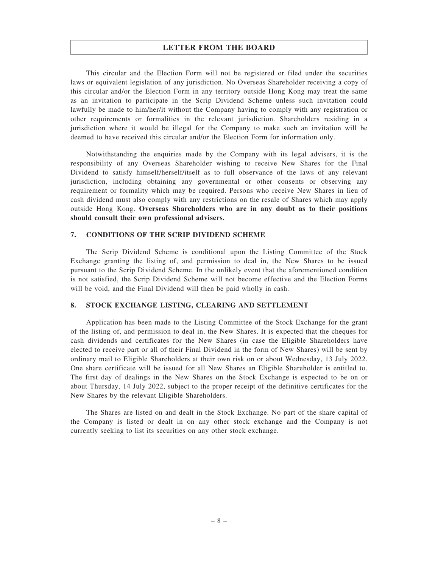This circular and the Election Form will not be registered or filed under the securities laws or equivalent legislation of any jurisdiction. No Overseas Shareholder receiving a copy of this circular and/or the Election Form in any territory outside Hong Kong may treat the same as an invitation to participate in the Scrip Dividend Scheme unless such invitation could lawfully be made to him/her/it without the Company having to comply with any registration or other requirements or formalities in the relevant jurisdiction. Shareholders residing in a jurisdiction where it would be illegal for the Company to make such an invitation will be deemed to have received this circular and/or the Election Form for information only.

Notwithstanding the enquiries made by the Company with its legal advisers, it is the responsibility of any Overseas Shareholder wishing to receive New Shares for the Final Dividend to satisfy himself/herself/itself as to full observance of the laws of any relevant jurisdiction, including obtaining any governmental or other consents or observing any requirement or formality which may be required. Persons who receive New Shares in lieu of cash dividend must also comply with any restrictions on the resale of Shares which may apply outside Hong Kong. Overseas Shareholders who are in any doubt as to their positions should consult their own professional advisers.

#### 7. CONDITIONS OF THE SCRIP DIVIDEND SCHEME

The Scrip Dividend Scheme is conditional upon the Listing Committee of the Stock Exchange granting the listing of, and permission to deal in, the New Shares to be issued pursuant to the Scrip Dividend Scheme. In the unlikely event that the aforementioned condition is not satisfied, the Scrip Dividend Scheme will not become effective and the Election Forms will be void, and the Final Dividend will then be paid wholly in cash.

#### 8. STOCK EXCHANGE LISTING, CLEARING AND SETTLEMENT

Application has been made to the Listing Committee of the Stock Exchange for the grant of the listing of, and permission to deal in, the New Shares. It is expected that the cheques for cash dividends and certificates for the New Shares (in case the Eligible Shareholders have elected to receive part or all of their Final Dividend in the form of New Shares) will be sent by ordinary mail to Eligible Shareholders at their own risk on or about Wednesday, 13 July 2022. One share certificate will be issued for all New Shares an Eligible Shareholder is entitled to. The first day of dealings in the New Shares on the Stock Exchange is expected to be on or about Thursday, 14 July 2022, subject to the proper receipt of the definitive certificates for the New Shares by the relevant Eligible Shareholders.

The Shares are listed on and dealt in the Stock Exchange. No part of the share capital of the Company is listed or dealt in on any other stock exchange and the Company is not currently seeking to list its securities on any other stock exchange.